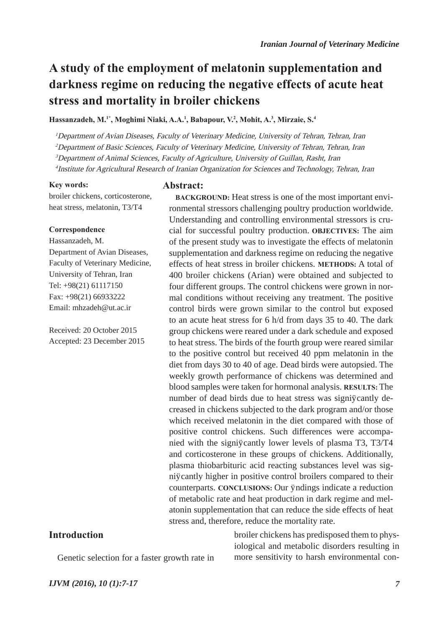# **A study of the employment of melatonin supplementation and darkness regime on reducing the negative effects of acute heat stress and mortality in broiler chickens**

**Hassanzadeh, M.1\*, Moghimi Niaki, A.A.1 , Babapour, V.2 , Mohit, A.3 , Mirzaie, S.4**

<sup>1</sup>Department of Avian Diseases, Faculty of Veterinary Medicine, University of Tehran, Tehran, Iran

<sup>2</sup>Department of Basic Sciences, Faculty of Veterinary Medicine, University of Tehran, Tehran, Iran

<sup>3</sup>Department of Animal Sciences, Faculty of Agriculture, University of Guillan, Rasht, Iran

<sup>4</sup> Institute for Agricultural Research of Iranian Organization for Sciences and Technology, Tehran, Iran

#### **Key words:**

broiler chickens, corticosterone, heat stress, melatonin, T3/T4

#### **Correspondence**

Hassanzadeh, M. Department of Avian Diseases, Faculty of Veterinary Medicine, University of Tehran, Iran Tel: +98(21) 61117150 Fax: +98(21) 66933222 Email: mhzadeh@ut.ac.ir

Received: 20 October 2015 Accepted: 23 December 2015

#### **Abstract:**

**BACKGROUND:** Heat stress is one of the most important environmental stressors challenging poultry production worldwide. Understanding and controlling environmental stressors is crucial for successful poultry production. **OBJECTIVES:** The aim of the present study was to investigate the effects of melatonin supplementation and darkness regime on reducing the negative effects of heat stress in broiler chickens. **METHODS:** A total of 400 broiler chickens (Arian) were obtained and subjected to four different groups. The control chickens were grown in normal conditions without receiving any treatment. The positive control birds were grown similar to the control but exposed to an acute heat stress for 6 h/d from days 35 to 40. The dark group chickens were reared under a dark schedule and exposed to heat stress. The birds of the fourth group were reared similar to the positive control but received 40 ppm melatonin in the diet from days 30 to 40 of age. Dead birds were autopsied. The weekly growth performance of chickens was determined and blood samples were taken for hormonal analysis. **RESULTS:** The number of dead birds due to heat stress was significantly decreased in chickens subjected to the dark program and/or those which received melatonin in the diet compared with those of positive control chickens. Such differences were accompanied with the significantly lower levels of plasma T3, T3/T4 and corticosterone in these groups of chickens. Additionally, plasma thiobarbituric acid reacting substances level was significantly higher in positive control broilers compared to their counterparts. **CONCLUSIONS:** Our findings indicate a reduction of metabolic rate and heat production in dark regime and melatonin supplementation that can reduce the side effects of heat stress and, therefore, reduce the mortality rate.

**Introduction**

Genetic selection for a faster growth rate in

broiler chickens has predisposed them to physiological and metabolic disorders resulting in more sensitivity to harsh environmental con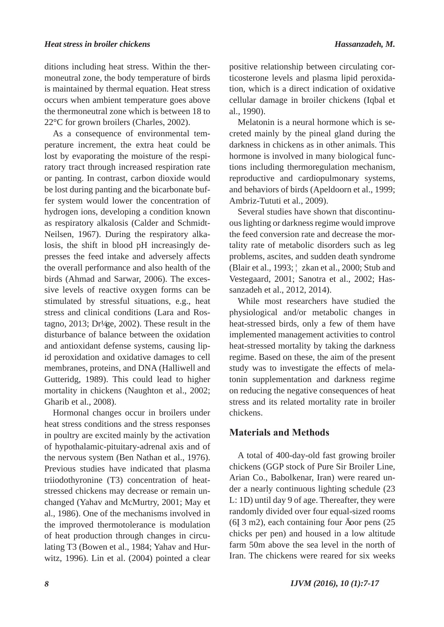ditions including heat stress. Within the thermoneutral zone, the body temperature of birds is maintained by thermal equation. Heat stress occurs when ambient temperature goes above the thermoneutral zone which is between 18 to 22°C for grown broilers (Charles, 2002).

As a consequence of environmental temperature increment, the extra heat could be lost by evaporating the moisture of the respiratory tract through increased respiration rate or panting. In contrast, carbon dioxide would be lost during panting and the bicarbonate buffer system would lower the concentration of hydrogen ions, developing a condition known as respiratory alkalosis (Calder and Schmidt-Neilsen, 1967). During the respiratory alkalosis, the shift in blood pH increasingly depresses the feed intake and adversely affects the overall performance and also health of the birds (Ahmad and Sarwar, 2006). The excessive levels of reactive oxygen forms can be stimulated by stressful situations, e.g., heat stress and clinical conditions (Lara and Rostagno, 2013; Dröge, 2002). These result in the disturbance of balance between the oxidation and antioxidant defense systems, causing lipid peroxidation and oxidative damages to cell membranes, proteins, and DNA (Halliwell and Gutteridg, 1989). This could lead to higher mortality in chickens (Naughton et al., 2002; Gharib et al., 2008).

Hormonal changes occur in broilers under heat stress conditions and the stress responses in poultry are excited mainly by the activation of hypothalamic-pituitary-adrenal axis and of the nervous system (Ben Nathan et al., 1976). Previous studies have indicated that plasma triiodothyronine (T3) concentration of heatstressed chickens may decrease or remain unchanged (Yahav and McMurtry, 2001; May et al., 1986). One of the mechanisms involved in the improved thermotolerance is modulation of heat production through changes in circulating T3 (Bowen et al., 1984; Yahav and Hurwitz, 1996). Lin et al. (2004) pointed a clear

positive relationship between circulating corticosterone levels and plasma lipid peroxidation, which is a direct indication of oxidative cellular damage in broiler chickens (Iqbal et al., 1990).

Melatonin is a neural hormone which is secreted mainly by the pineal gland during the darkness in chickens as in other animals. This hormone is involved in many biological functions including thermoregulation mechanism, reproductive and cardiopulmonary systems, and behaviors of birds (Apeldoorn et al., 1999; Ambriz-Tututi et al., 2009).

Several studies have shown that discontinuous lighting or darkness regime would improve the feed conversion rate and decrease the mortality rate of metabolic disorders such as leg problems, ascites, and sudden death syndrome (Blair et al., 1993; Özkan et al., 2000; Stub and Vestegaard, 2001; Sanotra et al., 2002; Hassanzadeh et al., 2012, 2014).

While most researchers have studied the physiological and/or metabolic changes in heat-stressed birds, only a few of them have implemented management activities to control heat-stressed mortality by taking the darkness regime. Based on these, the aim of the present study was to investigate the effects of melatonin supplementation and darkness regime on reducing the negative consequences of heat stress and its related mortality rate in broiler chickens.

## **Materials and Methods**

A total of 400-day-old fast growing broiler chickens (GGP stock of Pure Sir Broiler Line, Arian Co., Babolkenar, Iran) were reared under a nearly continuous lighting schedule (23 L: 1D) until day 9 of age. Thereafter, they were randomly divided over four equal-sized rooms  $(6\times3 \text{ m2})$ , each containing four foor pens  $(25)$ chicks per pen) and housed in a low altitude farm 50m above the sea level in the north of Iran. The chickens were reared for six weeks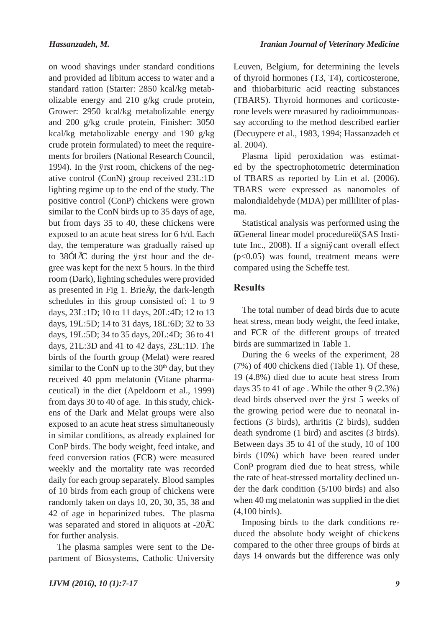on wood shavings under standard conditions and provided ad libitum access to water and a standard ration (Starter: 2850 kcal/kg metabolizable energy and 210 g/kg crude protein, Grower: 2950 kcal/kg metabolizable energy and 200 g/kg crude protein, Finisher: 3050 kcal/kg metabolizable energy and 190 g/kg crude protein formulated) to meet the requirements for broilers (National Research Council, 1994). In the first room, chickens of the negative control (ConN) group received 23L:1D lighting regime up to the end of the study. The positive control (ConP) chickens were grown similar to the ConN birds up to 35 days of age, but from days 35 to 40, these chickens were exposed to an acute heat stress for 6 h/d. Each day, the temperature was gradually raised up to  $38\pm1\degree$ C during the frst hour and the degree was kept for the next 5 hours. In the third room (Dark), lighting schedules were provided as presented in Fig 1. Briefy, the dark-length schedules in this group consisted of: 1 to 9 days, 23L:1D; 10 to 11 days, 20L:4D; 12 to 13 days, 19L:5D; 14 to 31 days, 18L:6D; 32 to 33 days, 19L:5D; 34 to 35 days, 20L:4D; 36 to 41 days, 21L:3D and 41 to 42 days, 23L:1D. The birds of the fourth group (Melat) were reared similar to the ConN up to the  $30<sup>th</sup>$  day, but they received 40 ppm melatonin (Vitane pharmaceutical) in the diet (Apeldoorn et al., 1999) from days 30 to 40 of age. In this study, chickens of the Dark and Melat groups were also exposed to an acute heat stress simultaneously in similar conditions, as already explained for ConP birds. The body weight, feed intake, and feed conversion ratios (FCR) were measured weekly and the mortality rate was recorded daily for each group separately. Blood samples of 10 birds from each group of chickens were randomly taken on days 10, 20, 30, 35, 38 and 42 of age in heparinized tubes. The plasma was separated and stored in aliquots at -20°C for further analysis.

The plasma samples were sent to the Department of Biosystems, Catholic University Leuven, Belgium, for determining the levels of thyroid hormones (T3, T4), corticosterone, and thiobarbituric acid reacting substances (TBARS). Thyroid hormones and corticosterone levels were measured by radioimmunoassay according to the method described earlier (Decuypere et al., 1983, 1994; Hassanzadeh et al. 2004).

Plasma lipid peroxidation was estimated by the spectrophotometric determination of TBARS as reported by Lin et al. (2006). TBARS were expressed as nanomoles of malondialdehyde (MDA) per milliliter of plasma.

Statistical analysis was performed using the ''General linear model procedure'' (SAS Institute Inc., 2008). If a significant overall effect (p<0.05) was found, treatment means were compared using the Scheffe test.

## **Results**

The total number of dead birds due to acute heat stress, mean body weight, the feed intake, and FCR of the different groups of treated birds are summarized in Table 1.

During the 6 weeks of the experiment, 28 (7%) of 400 chickens died (Table 1). Of these, 19 (4.8%) died due to acute heat stress from days 35 to 41 of age . While the other 9 (2.3%) dead birds observed over the first 5 weeks of the growing period were due to neonatal infections (3 birds), arthritis (2 birds), sudden death syndrome (1 bird) and ascites (3 birds). Between days 35 to 41 of the study, 10 of 100 birds (10%) which have been reared under ConP program died due to heat stress, while the rate of heat-stressed mortality declined under the dark condition (5/100 birds) and also when 40 mg melatonin was supplied in the diet (4,100 birds).

Imposing birds to the dark conditions reduced the absolute body weight of chickens compared to the other three groups of birds at days 14 onwards but the difference was only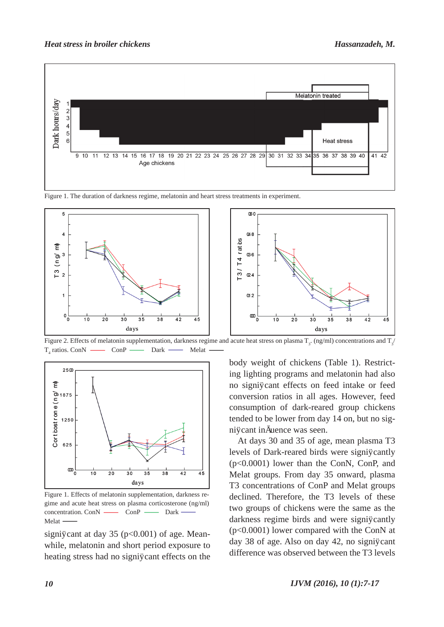

Figure 1. The duration of darkness regime, melatonin and heart stress treatments in experiment.



Figure 2. Effects of melatonin supplementation, darkness regime and acute heat stress on plasma  $T_{3}$ . (ng/ml) concentrations and  $T_{3}$  $T_4$  ratios. Con $N \longrightarrow$  Con $P \longrightarrow$  Dark  $\longrightarrow$  Melat



Figure 1. Effects of melatonin supplementation, darkness regime and acute heat stress on plasma corticosterone (ng/ml) concentration. ConN — ConP — Dark Melat ·

significant at day 35 ( $p<0.001$ ) of age. Meanwhile, melatonin and short period exposure to heating stress had no significant effects on the body weight of chickens (Table 1). Restricting lighting programs and melatonin had also no significant effects on feed intake or feed conversion ratios in all ages. However, feed consumption of dark-reared group chickens tended to be lower from day 14 on, but no significant infuence was seen.

At days 30 and 35 of age, mean plasma T3 levels of Dark-reared birds were significantly (p<0.0001) lower than the ConN, ConP, and Melat groups. From day 35 onward, plasma T3 concentrations of ConP and Melat groups declined. Therefore, the T3 levels of these two groups of chickens were the same as the darkness regime birds and were significantly (p<0.0001) lower compared with the ConN at day 38 of age. Also on day 42, no significant difference was observed between the T3 levels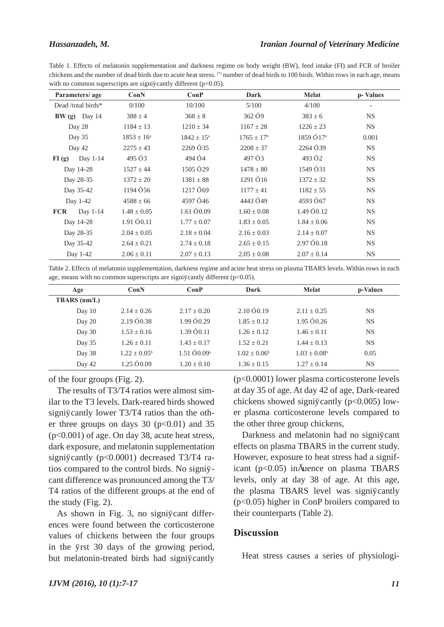Table 1. Effects of melatonin supplementation and darkness regime on body weight (BW), feed intake (FI) and FCR of broiler chickens and the number of dead birds due to acute heat stress. (\*) number of dead birds to 100 birds. Within rows in each age, means with no common superscripts are significantly different ( $p<0.05$ ).

| Parameters/age     |            | ConN            | ConP                  | Dark                  | <b>Melat</b>          | p-Values  |
|--------------------|------------|-----------------|-----------------------|-----------------------|-----------------------|-----------|
| Dead /total birds* |            | 0/100           | 10/100                | 5/100                 | 4/100                 |           |
| $BW(g)$ Day 14     |            | $388 \pm 4$     | $368 \pm 8$           | $362 \pm 9$           | $383 \pm 6$           | <b>NS</b> |
| Day 28             |            | $1184 \pm 13$   | $1210 \pm 34$         | $1167 \pm 28$         | $1226 \pm 23$         | <b>NS</b> |
| Day 35             |            | $1853 \pm 16^a$ | $1842 \pm 15^{\rm a}$ | $1765 \pm 17^{\rm b}$ | $1859 \pm 17^{\circ}$ | 0.001     |
| Day 42             |            | $2275 \pm 43$   | $2269 \pm 35$         | $2208 \pm 37$         | $2264 \pm 39$         | <b>NS</b> |
| FI(g)              | Day 1-14   | $495 \pm 3$     | $494 \pm 4$           | $497 \pm 3$           | $493 \pm 2$           | <b>NS</b> |
| Day 14-28          |            | $1527 \pm 44$   | $1505 \pm 29$         | $1478 \pm 80$         | $1549 \pm 31$         | <b>NS</b> |
| Day 28-35          |            | $1372 \pm 20$   | $1381 \pm 88$         | $1291 \pm 16$         | $1372 \pm 32$         | <b>NS</b> |
| Day 35-42          |            | $1194 \pm 56$   | $1217 \pm 69$         | $1177 \pm 41$         | $1182 \pm 55$         | <b>NS</b> |
| Day 1-42           |            | $4588 \pm 66$   | $4597 \pm 46$         | $4443 \pm 49$         | $4593 \pm 67$         | <b>NS</b> |
| <b>FCR</b>         | Day $1-14$ | $1.48 \pm 0.05$ | $1.61 \pm 0.09$       | $1.60 \pm 0.08$       | $1.49 \pm 0.12$       | <b>NS</b> |
| Day 14-28          |            | $1.91 \pm 0.11$ | $1.77 \pm 0.07$       | $1.83 \pm 0.05$       | $1.84 \pm 0.06$       | <b>NS</b> |
| Day 28-35          |            | $2.04 \pm 0.05$ | $2.18 \pm 0.04$       | $2.16 \pm 0.03$       | $2.14 \pm 0.07$       | <b>NS</b> |
| Day 35-42          |            | $2.64 \pm 0.21$ | $2.74 \pm 0.18$       | $2.65 \pm 0.15$       | $2.97 \pm 0.18$       | <b>NS</b> |
| Day 1-42           |            | $2.06 \pm 0.11$ | $2.07 \pm 0.13$       | $2.05 \pm 0.08$       | $2.07 \pm 0.14$       | <b>NS</b> |

Table 2. Effects of melatonin supplementation, darkness regime and acute heat stress on plasma TBARS levels. Within rows in each age, means with no common superscripts are significantly different ( $p<0.05$ ).

| Age                 | ConN                  | ConP                    | Dark            | <b>Melat</b>    | p-Values  |
|---------------------|-----------------------|-------------------------|-----------------|-----------------|-----------|
| <b>TBARS</b> (nm/L) |                       |                         |                 |                 |           |
| Day $10$            | $2.14 + 0.26$         | $2.17 + 0.20$           | $2.10 + 0.19$   | $2.11 + 0.25$   | <b>NS</b> |
| Day 20              | $2.19 \pm 0.38$       | $1.99 + 0.29$           | $1.85 + 0.12$   | $1.95 + 0.26$   | <b>NS</b> |
| Day 30              | $1.53 \pm 0.16$       | $1.39 \pm 0.11$         | $1.26 \pm 0.12$ | $1.46 \pm 0.11$ | <b>NS</b> |
| Day 35              | $1.26 + 0.11$         | $1.43 + 0.17$           | $1.52 + 0.21$   | $1.44 + 0.13$   | <b>NS</b> |
| Day 38              | $1.22 + 0.05^{\circ}$ | $1.51 \pm 0.09^{\rm a}$ | $1.02 + 0.06^b$ | $1.03 + 0.08^b$ | 0.05      |
| Day 42              | $1.25 + 0.09$         | $1.20 + 0.10$           | $1.36 + 0.15$   | $1.27 + 0.14$   | <b>NS</b> |

of the four groups (Fig. 2).

The results of T3/T4 ratios were almost similar to the T3 levels. Dark-reared birds showed significantly lower T3/T4 ratios than the other three groups on days  $30$  ( $p<0.01$ ) and  $35$ (p<0.001) of age. On day 38, acute heat stress, dark exposure, and melatonin supplementation significantly ( $p<0.0001$ ) decreased T3/T4 ratios compared to the control birds. No significant difference was pronounced among the T3/ T4 ratios of the different groups at the end of the study (Fig. 2).

As shown in Fig. 3, no significant differences were found between the corticosterone values of chickens between the four groups in the first 30 days of the growing period, but melatonin-treated birds had significantly (p<0.0001) lower plasma corticosterone levels at day 35 of age. At day 42 of age, Dark-reared chickens showed significantly ( $p<0.005$ ) lower plasma corticosterone levels compared to the other three group chickens,

Darkness and melatonin had no significant effects on plasma TBARS in the current study. However, exposure to heat stress had a significant  $(p<0.05)$  infuence on plasma TBARS levels, only at day 38 of age. At this age, the plasma TBARS level was significantly (p<0.05) higher in ConP broilers compared to their counterparts (Table 2).

### **Discussion**

Heat stress causes a series of physiologi-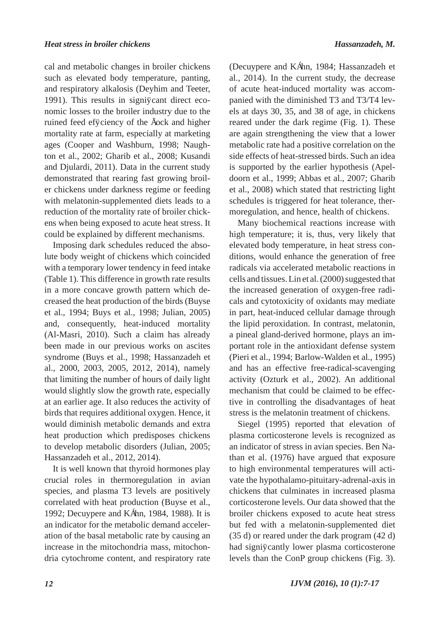cal and metabolic changes in broiler chickens such as elevated body temperature, panting, and respiratory alkalosis (Deyhim and Teeter, 1991). This results in significant direct economic losses to the broiler industry due to the ruined feed effciency of the fock and higher mortality rate at farm, especially at marketing ages (Cooper and Washburn, 1998; Naughton et al., 2002; Gharib et al., 2008; Kusandi and Djulardi, 2011). Data in the current study demonstrated that rearing fast growing broiler chickens under darkness regime or feeding with melatonin-supplemented diets leads to a reduction of the mortality rate of broiler chickens when being exposed to acute heat stress. It could be explained by different mechanisms.

Imposing dark schedules reduced the absolute body weight of chickens which coincided with a temporary lower tendency in feed intake (Table 1). This difference in growth rate results in a more concave growth pattern which decreased the heat production of the birds (Buyse et al., 1994; Buys et al., 1998; Julian, 2005) and, consequently, heat-induced mortality (Al-Masri, 2010). Such a claim has already been made in our previous works on ascites syndrome (Buys et al., 1998; Hassanzadeh et al., 2000, 2003, 2005, 2012, 2014), namely that limiting the number of hours of daily light would slightly slow the growth rate, especially at an earlier age. It also reduces the activity of birds that requires additional oxygen. Hence, it would diminish metabolic demands and extra heat production which predisposes chickens to develop metabolic disorders (Julian, 2005; Hassanzadeh et al., 2012, 2014).

It is well known that thyroid hormones play crucial roles in thermoregulation in avian species, and plasma T3 levels are positively correlated with heat production (Buyse et al., 1992; Decuypere and Kühn, 1984, 1988). It is an indicator for the metabolic demand acceleration of the basal metabolic rate by causing an increase in the mitochondria mass, mitochondria cytochrome content, and respiratory rate (Decuypere and Kühn, 1984; Hassanzadeh et al., 2014). In the current study, the decrease of acute heat-induced mortality was accompanied with the diminished T3 and T3/T4 levels at days 30, 35, and 38 of age, in chickens reared under the dark regime (Fig. 1). These are again strengthening the view that a lower metabolic rate had a positive correlation on the side effects of heat-stressed birds. Such an idea is supported by the earlier hypothesis (Apeldoorn et al., 1999; Abbas et al., 2007; Gharib et al., 2008) which stated that restricting light schedules is triggered for heat tolerance, thermoregulation, and hence, health of chickens.

Many biochemical reactions increase with high temperature; it is, thus, very likely that elevated body temperature, in heat stress conditions, would enhance the generation of free radicals via accelerated metabolic reactions in cells and tissues. Lin et al. (2000) suggested that the increased generation of oxygen-free radicals and cytotoxicity of oxidants may mediate in part, heat-induced cellular damage through the lipid peroxidation. In contrast, melatonin, a pineal gland-derived hormone, plays an important role in the antioxidant defense system (Pieri et al., 1994; Barlow-Walden et al., 1995) and has an effective free-radical-scavenging activity (Ozturk et al., 2002). An additional mechanism that could be claimed to be effective in controlling the disadvantages of heat stress is the melatonin treatment of chickens.

Siegel (1995) reported that elevation of plasma corticosterone levels is recognized as an indicator of stress in avian species. Ben Nathan et al. (1976) have argued that exposure to high environmental temperatures will activate the hypothalamo-pituitary-adrenal-axis in chickens that culminates in increased plasma corticosterone levels. Our data showed that the broiler chickens exposed to acute heat stress but fed with a melatonin-supplemented diet (35 d) or reared under the dark program (42 d) had significantly lower plasma corticosterone levels than the ConP group chickens (Fig. 3).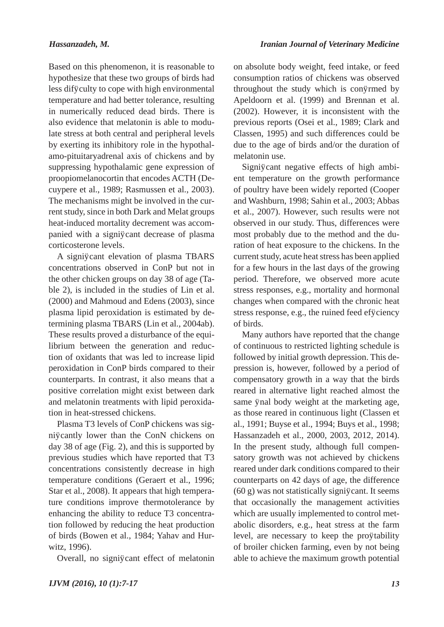Based on this phenomenon, it is reasonable to hypothesize that these two groups of birds had less difficulty to cope with high environmental temperature and had better tolerance, resulting in numerically reduced dead birds. There is also evidence that melatonin is able to modulate stress at both central and peripheral levels by exerting its inhibitory role in the hypothalamo-pituitaryadrenal axis of chickens and by suppressing hypothalamic gene expression of proopiomelanocortin that encodes ACTH (Decuypere et al., 1989; Rasmussen et al., 2003). The mechanisms might be involved in the current study, since in both Dark and Melat groups heat-induced mortality decrement was accompanied with a significant decrease of plasma corticosterone levels.

A significant elevation of plasma TBARS concentrations observed in ConP but not in the other chicken groups on day 38 of age (Table 2), is included in the studies of Lin et al. (2000) and Mahmoud and Edens (2003), since plasma lipid peroxidation is estimated by determining plasma TBARS (Lin et al., 2004ab). These results proved a disturbance of the equilibrium between the generation and reduction of oxidants that was led to increase lipid peroxidation in ConP birds compared to their counterparts. In contrast, it also means that a positive correlation might exist between dark and melatonin treatments with lipid peroxidation in heat-stressed chickens.

Plasma T3 levels of ConP chickens was significantly lower than the ConN chickens on day 38 of age (Fig. 2), and this is supported by previous studies which have reported that T3 concentrations consistently decrease in high temperature conditions (Geraert et al., 1996; Star et al., 2008). It appears that high temperature conditions improve thermotolerance by enhancing the ability to reduce T3 concentration followed by reducing the heat production of birds (Bowen et al., 1984; Yahav and Hurwitz, 1996).

Overall, no significant effect of melatonin

on absolute body weight, feed intake, or feed consumption ratios of chickens was observed throughout the study which is confrmed by Apeldoorn et al. (1999) and Brennan et al. (2002). However, it is inconsistent with the previous reports (Osei et al., 1989; Clark and Classen, 1995) and such differences could be due to the age of birds and/or the duration of melatonin use.

Significant negative effects of high ambient temperature on the growth performance of poultry have been widely reported (Cooper and Washburn, 1998; Sahin et al., 2003; Abbas et al., 2007). However, such results were not observed in our study. Thus, differences were most probably due to the method and the duration of heat exposure to the chickens. In the current study, acute heat stress has been applied for a few hours in the last days of the growing period. Therefore, we observed more acute stress responses, e.g., mortality and hormonal changes when compared with the chronic heat stress response, e.g., the ruined feed effciency of birds.

Many authors have reported that the change of continuous to restricted lighting schedule is followed by initial growth depression. This depression is, however, followed by a period of compensatory growth in a way that the birds reared in alternative light reached almost the same final body weight at the marketing age, as those reared in continuous light (Classen et al., 1991; Buyse et al., 1994; Buys et al., 1998; Hassanzadeh et al., 2000, 2003, 2012, 2014). In the present study, although full compensatory growth was not achieved by chickens reared under dark conditions compared to their counterparts on 42 days of age, the difference  $(60 g)$  was not statistically significant. It seems that occasionally the management activities which are usually implemented to control metabolic disorders, e.g., heat stress at the farm level, are necessary to keep the profitability of broiler chicken farming, even by not being able to achieve the maximum growth potential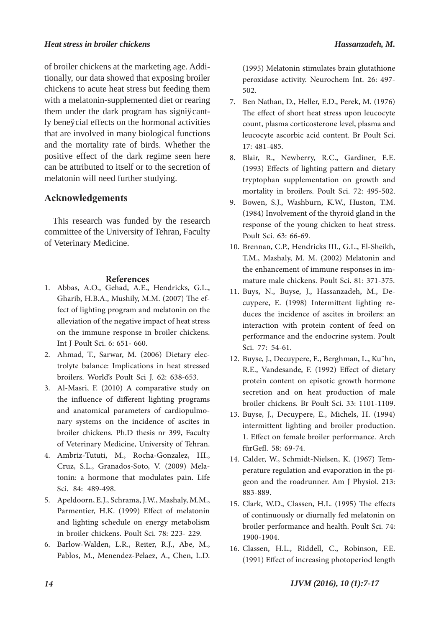#### *Heat stress in broiler chickens Hassanzadeh, M.*

of broiler chickens at the marketing age. Additionally, our data showed that exposing broiler chickens to acute heat stress but feeding them with a melatonin-supplemented diet or rearing them under the dark program has significantly beneficial effects on the hormonal activities that are involved in many biological functions and the mortality rate of birds. Whether the positive effect of the dark regime seen here can be attributed to itself or to the secretion of melatonin will need further studying.

## **Acknowledgements**

This research was funded by the research committee of the University of Tehran, Faculty of Veterinary Medicine.

#### **References**

- 1. Abbas, A.O., Gehad, A.E., Hendricks, G.L., Gharib, H.B.A., Mushily, M.M. (2007) The effect of lighting program and melatonin on the alleviation of the negative impact of heat stress on the immune response in broiler chickens. Int J Poult Sci. 6: 651- 660.
- Ahmad, T., Sarwar, M. (2006) Dietary elec-2. trolyte balance: Implications in heat stressed broilers. World's Poult Sci J. 62: 638-653.
- Al-Masri, F. (2010) A comparative study on 3. the influence of different lighting programs and anatomical parameters of cardiopulmonary systems on the incidence of ascites in broiler chickens. Ph.D thesis nr 399, Faculty of Veterinary Medicine, University of Tehran.
- Ambriz-Tututi, M., Rocha-Gonzalez, HI., 4. Cruz, S.L., Granados-Soto, V. (2009) Mela- tonin: a hormone that modulates pain. Life Sci. 84: 489-498.
- Apeldoorn, E.J., Schrama, J.W., Mashaly, M.M., 5. Parmentier, H.K. (1999) Effect of melatonin and lighting schedule on energy metabolism in broiler chickens. Poult Sci. 78: 223- 229.
- Barlow-Walden, L.R., Reiter, R.J., Abe, M., 6. Pablos, M., Menendez-Pelaez, A., Chen, L.D.

(1995) Melatonin stimulates brain glutathione peroxidase activity. Neurochem Int. 26: 497- 502.

- Ben Nathan, D., Heller, E.D., Perek, M. (1976) 7. The effect of short heat stress upon leucocyte count, plasma corticosterone level, plasma and leucocyte ascorbic acid content. Br Poult Sci. 17: 481-485.
- Blair, R., Newberry, R.C., Gardiner, E.E. 8. (1993) Effects of lighting pattern and dietary tryptophan supplementation on growth and mortality in broilers. Poult Sci. 72: 495-502.
- Bowen, S.J., Washburn, K.W., Huston, T.M. 9. (1984) Involvement of the thyroid gland in the response of the young chicken to heat stress. Poult Sci. 63: 66-69.
- Brennan, C.P., Hendricks III., G.L., El-Sheikh, 10. T.M., Mashaly, M. M. (2002) Melatonin and the enhancement of immune responses in im- mature male chickens. Poult Sci. 81: 371-375.
- cuypere, E. (1998) Intermittent lighting re-<br>duces the incidence of ascites in broilers: an interaction with protein content of feed on performance and the endocrine system. Poult Sci. 77: 54-61. 11. Buys, N., Buyse, J., Hassanzadeh, M., De-
- 12. Buyse, J., Decuypere, E., Berghman, L., Ku"hn, R.E., Vandesande, F. (1992) Effect of dietary protein content on episotic growth hormone secretion and on heat production of male broiler chickens. Br Poult Sci. 33: 1101-1109.
- 13. Buyse, J., Decuypere, E., Michels, H. (1994) intermittent lighting and broiler production. 1. Effect on female broiler performance. Arch fürGefl. 58: 69-74.
- perature regulation and evaporation in the pi-<br>geon and the roadrunner. Am J Physiol. 213: 883-889. 14. Calder, W., Schmidt-Nielsen, K. (1967) Tem-
- Clark, W.D., Classen, H.L. (1995) The effects 15. of continuously or diurnally fed melatonin on broiler performance and health. Poult Sci. 74: 1900-1904.
- 16. Classen, H.L., Riddell, C., Robinson, F.E. (1991) Effect of increasing photoperiod length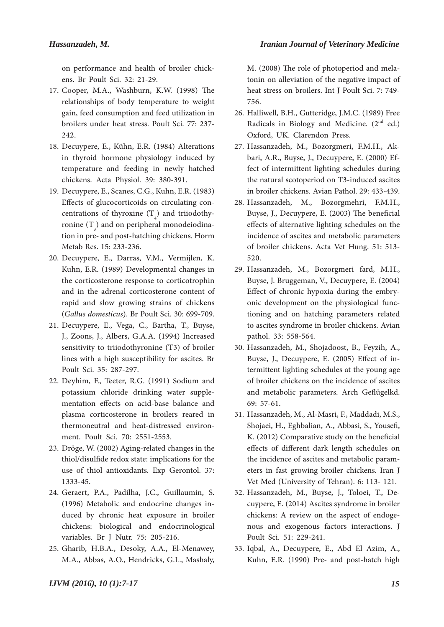on performance and health of broiler chick- ens. Br Poult Sci. 32: 21-29.

- 17. Cooper, M.A., Washburn, K.W. (1998) The relationships of body temperature to weight gain, feed consumption and feed utilization in broilers under heat stress. Poult Sci. 77: 237- 242.
- 18. Decuypere, E., Kühn, E.R. (1984) Alterations in thyroid hormone physiology induced by temperature and feeding in newly hatched chickens. Acta Physiol. 39: 380-391.
- Decuypere, E., Scanes, C.G., Kuhn, E.R. (1983) 19. Effects of glucocorticoids on circulating concentrations of thyroxine  $(T_4)$  and triiodothycentrations of thyroxine  $(T_4)$  and triiodothy-<br>ronine  $(T_3)$  and on peripheral monodeiodinaronine  $(T_3)$  and on peripheral monodeiodina-<br>tion in pre- and post-hatching chickens. Horm Metab Res. 15: 233-236.
- 20. Decuypere, E., Darras, V.M., Vermijlen, K. Kuhn, E.R. (1989) Developmental changes in the corticosterone response to corticotrophin and in the adrenal corticosterone content of rapid and slow growing strains of chickens (*Gallus domesticus*). Br Poult Sci. 30: 699-709.
- 21. Decuypere, E., Vega, C., Bartha, T., Buyse, J., Zoons, J., Albers, G.A.A. (1994) Increased sensitivity to triiodothyronine (T3) of broiler lines with a high susceptibility for ascites. Br Poult Sci. 35: 287-297.
- 22. Deyhim, F., Teeter, R.G. (1991) Sodium and potassium chloride drinking water supple- mentation effects on acid-base balance and plasma corticosterone in broilers reared in thermoneutral and heat-distressed environ- ment. Poult Sci. 70: 2551-2553.
- 23. Dröge, W. (2002) Aging-related changes in the thiol/disulfide redox state: implications for the use of thiol antioxidants. Exp Gerontol. 37: 1333-45.
- Geraert, P.A., Padilha, J.C., Guillaumin, S. 24. (1996) Metabolic and endocrine changes in- duced by chronic heat exposure in broiler chickens: biological and endocrinological variables. Br J Nutr. 75: 205-216.
- 25. Gharib, H.B.A., Desoky, A.A., El-Menawey, M.A., Abbas, A.O., Hendricks, G.L., Mashaly,

M. (2008) The role of photoperiod and mela- tonin on alleviation of the negative impact of heat stress on broilers. Int J Poult Sci. 7: 749- 756.

- 26. Halliwell, B.H., Gutteridge, J.M.C. (1989) Free Radicals in Biology and Medicine.  $(2<sup>nd</sup>$  ed.) Oxford, UK. Clarendon Press.
- bari, A.R., Buyse, J., Decuypere, E. (2000) Effect of intermittent lighting schedules during the natural scotoperiod on T3-induced ascites in broiler chickens. Avian Pathol. 29: 433-439. 27. Hassanzadeh, M., Bozorgmeri, F.M.H., Ak-
- Hassanzadeh, M., Bozorgmehri, F.M.H., 28. Buyse, J., Decuypere, E. (2003) The beneficial effects of alternative lighting schedules on the incidence of ascites and metabolic parameters of broiler chickens. Acta Vet Hung. 51: 513- 520.
- Hassanzadeh, M., Bozorgmeri fard, M.H., 29. Buyse, J. Bruggeman, V., Decuypere, E. (2004) Effect of chronic hypoxia during the embry- onic development on the physiological func- tioning and on hatching parameters related to ascites syndrome in broiler chickens. Avian pathol. 33: 558-564.
- Hassanzadeh, M., Shojadoost, B., Feyzih, A., 30. Buyse, J., Decuypere, E. (2005) Effect of in- termittent lighting schedules at the young age of broiler chickens on the incidence of ascites and metabolic parameters. Arch Geflügelkd. 69: 57-61.
- Hassanzadeh, M., Al-Masri, F., Maddadi, M.S., 31. Shojaei, H., Eghbalian, A., Abbasi, S., Yousefi, K. (2012) Comparative study on the beneficial effects of different dark length schedules on the incidence of ascites and metabolic param-<br>eters in fast growing broiler chickens. Iran J Vet Med (University of Tehran). 6: 113- 121.
- cuypere, E. (2014) Ascites syndrome in broiler chickens: A review on the aspect of endoge- nous and exogenous factors interactions. J Poult Sci. 51: 229-241. 32. Hassanzadeh, M., Buyse, J., Toloei, T., De-
- 33. Iqbal, A., Decuypere, E., Abd El Azim, A., Kuhn, E.R. (1990) Pre- and post-hatch high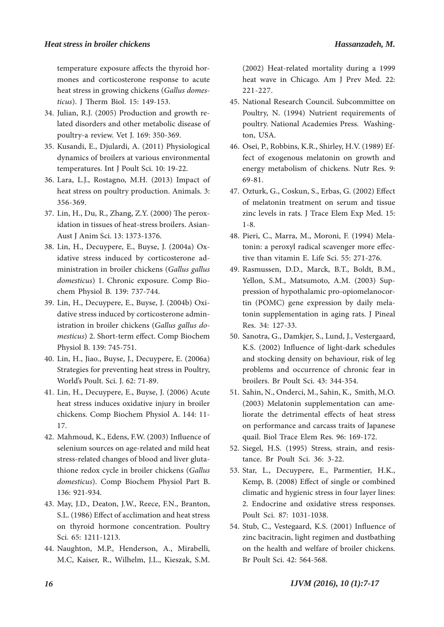temperature exposure affects the thyroid hor- mones and corticosterone response to acute heat stress in growing chickens (*Gallus domes� ticus*). J Therm Biol. 15: 149-153.

- lated disorders and other metabolic disease of poultry-a review. Vet J. 169: 350-369. 34. Julian, R.J. (2005) Production and growth re-
- 35. Kusandi, E., Djulardi, A. (2011) Physiological dynamics of broilers at various environmental temperatures. Int J Poult Sci. 10: 19-22.
- Lara, L.J., Rostagno, M.H. (2013) Impact of 36. heat stress on poultry production. Animals. 3: 356-369.
- 37. Lin, H., Du, R., Zhang, Z.Y. (2000) The peroxidation in tissues of heat-stress broilers. Asian-Aust J Anim Sci. 13: 1373-1376.
- idative stress induced by corticosterone ad-<br>ministration in broiler chickens (*Gallus gallus domesticus*) 1. Chronic exposure. Comp Bio- chem Physiol B. 139: 737-744. 38. Lin, H., Decuypere, E., Buyse, J. (2004a) Ox-
- dative stress induced by corticosterone administration in broiler chickens (*Gallus gallus do-*<br>*mesticus*) 2. Short-term effect. Comp Biochem Physiol B. 139: 745-751. 39. Lin, H., Decuypere, E., Buyse, J. (2004b) Oxi-
- Lin, H., Jiao., Buyse, J., Decuypere, E. (2006a) 40. Strategies for preventing heat stress in Poultry, World's Poult. Sci. J. 62: 71-89.
- 41. Lin, H., Decuypere, E., Buyse, J. (2006) Acute heat stress induces oxidative injury in broiler chickens. Comp Biochem Physiol A. 144: 11- 17.
- 42. Mahmoud, K., Edens, F.W. (2003) Influence of selenium sources on age-related and mild heat stress-related changes of blood and liver gluta- thione redox cycle in broiler chickens (*Gallus domesticus*). Comp Biochem Physiol Part B. 136: 921-934.
- May, J.D., Deaton, J.W., Reece, F.N., Branton, 43. S.L. (1986) Effect of acclimation and heat stress on thyroid hormone concentration. Poultry Sci. 65: 1211-1213.
- Naughton, M.P., Henderson, A., Mirabelli, 44. M.C, Kaiser, R., Wilhelm, J.L., Kieszak, S.M.

(2002) Heat-related mortality during a 1999 heat wave in Chicago. Am J Prev Med. 22: 221-227.

- National Research Council. Subcommittee on 45. Poultry, N. (1994) Nutrient requirements of poultry. National Academies Press. Washing-<br>ton, USA.
- fect of exogenous melatonin on growth and energy metabolism of chickens. Nutr Res. 9: 69-81. 46. Osei, P., Robbins, K.R., Shirley, H.V. (1989) Ef-
- Ozturk, G., Coskun, S., Erbas, G. (2002) Effect 47. of melatonin treatment on serum and tissue zinc levels in rats. J Trace Elem Exp Med. 15: 1-8.
- tonin: a peroxyl radical scavenger more effec-<br>tive than vitamin E. Life Sci. 55: 271-276. 48. Pieri, C., Marra, M., Moroni, F. (1994) Mela-
- Rasmussen, D.D., Marck, B.T., Boldt, B.M., 49. Yellon, S.M., Matsumoto, A.M. (2003) Suppression of hypothalamic pro-opiomelanocortin (POMC) gene expression by daily melatonin supplementation in aging rats. J Pineal Res. 34: 127-33.
- Sanotra, G., Damkjer, S., Lund, J., Vestergaard, 50. K.S. (2002) Influence of light-dark schedules and stocking density on behaviour, risk of leg problems and occurrence of chronic fear in broilers. Br Poult Sci. 43: 344-354.
- Sahin, N., Onderci, M., Sahin, K., Smith, M.O. 51. (2003) Melatonin supplementation can ame- liorate the detrimental effects of heat stress on performance and carcass traits of Japanese quail. Biol Trace Elem Res. 96: 169-172.
- Siegel, H.S. (1995) Stress, strain, and resis- tance. Br Poult Sci. 36: 3-22. 52.
- Star, L., Decuypere, E., Parmentier, H.K., 53. Kemp, B. (2008) Effect of single or combined climatic and hygienic stress in four layer lines: 2. Endocrine and oxidative stress responses. Poult Sci. 87: 1031-1038.
- Stub, C., Vestegaard, K.S. (2001) Influence of 54. zinc bacitracin, light regimen and dustbathing on the health and welfare of broiler chickens. Br Poult Sci. 42: 564-568.